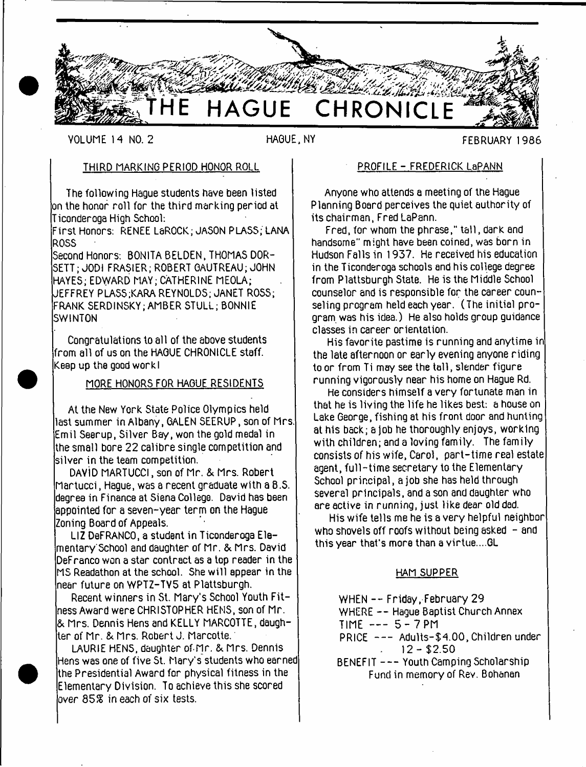

VOLUME 14 NO. 2 **HAGUE, NY** FEBRUARY 1986

## THIRD MARKING PERIOD HONOR ROLL

The following Hague students have been listed on the honor roll for the third marking period at Ticonderoga High School:

First Honors: RENEE LaROCK; JASON PLASS; LANA ROSS

Second Honors: BONITA BELDEN, THOMAS DOR-SETT; JODI FRASIER; ROBERT GAUTREAU; JOHN HAYES; EDWARD MAY; CATHERINE MEOLA; JEFFREY PLASS;KARA REYNOLDS; JANET ROSS; FRANK SERDINSKY; AMBER STULL; BONNIE SW INTON

Congratulations to all of the above students rom all of us on the HAGUE CHRONICLE staff. Keep up the good work I

## MORE HONORS FOR HAGUE RESIDENTS

At the New York State Police Olympics held last summer in Albany, GALEN SEERUP, son of Mrs. Emil Seerup, Silver Bay, won the gold medal in he small bore 22 calibre single competition and silver in the team competition.

DAVID MARTUCCI, son of Mr. & Mrs. Robert Martucci, Hague, was a recent graduate with a 8.S. degree in Finance at Siena College. David has been appointed for a seven-year term on the Hague Zoning Board of Appeals.

LIZ DeFRANCO, a student in Ticonderoga Elementary School and daughter of Mr. & Mrs. David DeFranco won a star contract as a top reader in the MS Readathon at the school. She w ill appear in the near future on WPTZ-TV5 at Plattsburgh.

Recent winners in St. Mary's School Youth Fitness Award were CHRISTOPHER HENS, son of Mr. & Mrs. Dennis Hens and KELLY MARCOTTE, daughter of Mr. & Mrs. Robert J. Marcotte.

LAURIE HENS, daughter of-fir. & Mrs. Dennis Hens was one of five St. Mary's students who earned the Presidential Award for physical fitness in the Elementary Division. To achieve this she scored lover 85% in each of six tests.

## PROFILE - FREDERICK LaPANN

Anyone who attends a meeting of the Hague Planning Board perceives the quiet authority of its chairman, Fred LaPann.

Fred, for whom the phrase," tall, dark and handsome" might have been coined, was born in Hudson Falls in 1937. He received his education in the Ticonderoga schools and his college degree from Plattsburgh State. He is the Middle School counselor and is responsible for the career counseling program held each year. (The initial program was his idea.) He also holds group guidance classes in career orientation.

His favorite pastime is running and anytime in the late afternoon or early evening anyone riding to or from Ti may see the toll, slender figure running vigorously near his home on Hague Rd.

He considers himself a very fortunate man in that he is living the life he likes best: a house on Lake George, fishing at his front door and hunting at his back; a Job he thoroughly enjoys, working with children; and a loving family. The family consists of his wife, Carol, part-time real estate agent, full-time secretary to the Elementary School principal, a job she has held through several principals, and a son and daughter who are active in running, just like dear old dad.

His wife tells me he is a very helpful neighbor who shovels off roofs without being asked  $-$  and this year that's more than a virtue....GL

### HAM SUPPER

WHEN  $-$  - Friday, February 29

WHERE -- Haque Baptist Church Annex

- $TIME$  ---  $5 7PM$
- PRICE --- Adults-\$4.00, Children under  $12 - $2.50$
- BENEFIT --- Youth Camping Scholarship Fund in memory of Rev. Bohanan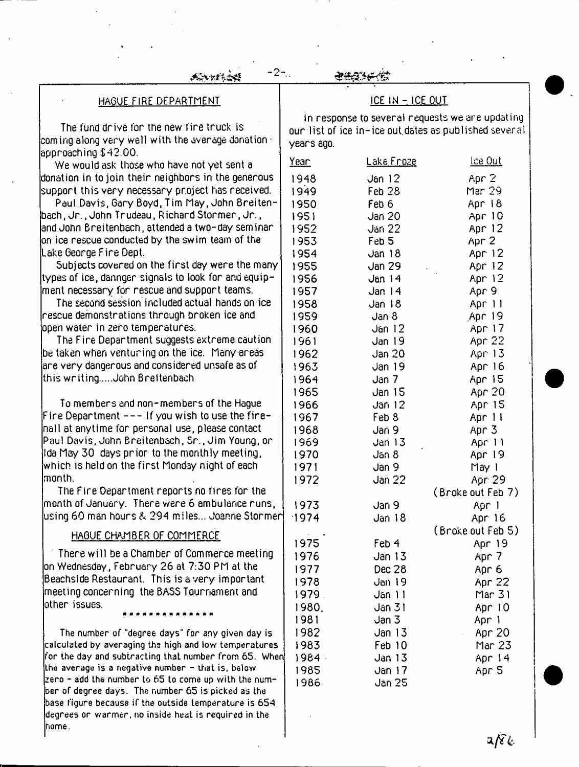$-2-$ 

### HAGUE FIRE DEPARTMENT

The fund drive for the new tire truck is  $\,$  coming along very well with the average donation  $\, \cdot \,$ approaching \$42.00.

We would ask those who have not yet sent a donation in to join their neighbors in the generous support this very necessary project has received.

Paul Davis, Gary Boyd, Tim May, John Breitenbach, Jr., John Trudeau, Richard Stormer, Jr., and John Breitenbach, attended a two-day seminar  $\,$  on ice rescue conducted by the swim team of the  $\,$ Lake George Fire Dept.

Subjects covered on the first day were the many types of ice, dannger signals to look for and equipment necessary for rescue and support teams.

The second session included actual hands on ice rescue demonstrations through broken ice and open water in zero temperatures.

The Fire Department suggests extreme caution be taken when venturing on the ice. Many areas are very dangerous and considered unsafe as of this writing.....John Breitenbach

To members and non-members of the Hague Fire Department  $---$  If you wish to use the firenall at anytime for personal use, please contact Paul Davis, John Breitenbach, Sr., Jim Young, or Ida May 30 days prior to the monthly meeting, which is held on the first Monday night of each month.

The Fire Department reports no fires for the month of January. There were 6 ambulance runs, using 60 man hours & 294 miles... Joanne Stormer

#### HAGUE CHAMBER OF COMMERCE

There will be a Chamber of Commerce meeting on Wednesday, February 26 at 7:30 PM at the Beachside Restaurant. This is a very important meeting concerning the BASS Tournament and other issues.

The number of "degree days" for any given day is calculated by averaging the high and low temperatures for the day and subtracting that number from 65. When Lhe average is a negative number - that is. below zero - add the number to 65 to come up with the number of degree days. The number 65 is picked as the base figure because if the outside temperature is 654 degrees or warmer, no inside heat is required in the home.

# ICE IN - ICE OUT

In response to several requests we are updating our list of ice in-ice out.dotes as published several years ago.

| <u>Year</u> | <u>Lake Froze</u> | <u>lce Out</u>    |
|-------------|-------------------|-------------------|
| 1948        | Jan 12            | Apr 2             |
| 1949        | Feb <sub>28</sub> | Mar 29            |
| 1950        | Feb 6             | Apr 18            |
| 1951        | <b>Jan 20</b>     | Apr 10            |
| 1952        | Jan 22            | Apr 12            |
| 1953        | Feb <sub>5</sub>  | Apr 2             |
| 1954        | Jan 18            | Apr 12            |
| 1955        | Jan 29            | Apr 12            |
| 1956        | Jan14             | Apr 12            |
| 1957        | Jan 14            | Apr 9             |
| 1958        | Jan 18            | Apr 11            |
| 1959        | Jan 8             | Apr 19            |
| 1960        | Jan 12            | Apr 17            |
| 1961        | Jan 19            | Apr 22            |
| 1962        | Jan 20            | Apr 13            |
| 1963        | Jan 19            | Apr 16            |
| 1964        | Jan 7             | Apr 15            |
| 1965        | Jan 15            | Apr 20            |
| 1966        | Jan 12            | Apr 15            |
| 1967        | Feb 8             | Apr 11            |
| 1968        | Jan 9             | Apr 3             |
| 1969        | Jan 13            | Apr 11            |
| 1970        | Jan 8             | Apr 19            |
| 1971        | Jan 9             | May 1             |
| 1972        | Jan 22            | Apr 29            |
|             |                   | (Broke out Feb 7) |
| 1973        | Jan 9             | Apr 1             |
| 1974        | Jan 18            | Apr 16            |
|             |                   | (Broke out Feb 5) |
| 1975        | Feb 4             | Apr 19            |
| 1976        | Jan 13            | Apr 7             |
| 1977        | Dec 28            | Apr <sub>6</sub>  |
| 1978        | Jan 19            | Apr 22            |
| 1979.       | Jan 11            | Mar 31            |
| 1980.       | Jan 31            | Apr 10            |
| 1981        | Jan 3             | Apr 1             |
| 1982        | Jan 13            | Apr 20            |
| 1983        | Feb 10            | Mar 23            |
| 1984 -      | Jan 13            | Apr 14            |
| 1985        | Jan 17            | Apr 5             |
| 1986        | Jan 25            |                   |
|             |                   |                   |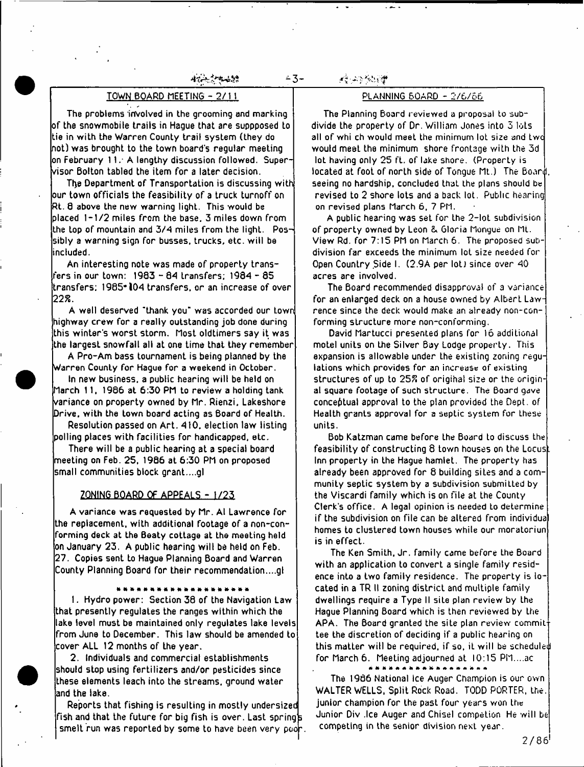#### والمحصور والمتواطن بعضائية

## TOWN BOARD MEETING - 2/11

The problems involved in the grooming and marking of the snowmobile trails in Hague that are suppposed to tie in with the Warren County trail system (they do not) was brought to the town board's regular meeting on February 1 1.- A lengthy discussion followed. Supervisor Bolton tabled the item for a later decision.

The Department of Transportation is discussing with our town officials the feasibility of a truck turnoff on Rt. 0 above the new warning light. This would be placed 1-1/2 miles from the base. 3 miles down from the top of mountain and 3/4 miles from the light. Possibly a warning sign for busses, trucks, etc. w ill be included.

An interesting note was made of property transfers in our town: 1983 - 84 Lransfers; 1984 - 85 transfers; 1985\*104 transfers, or an increase of over *22%.*

A well deserved "thank you" was accorded our town highway crew for a really outstanding job done during this winter's worst storm. Most oldtimers say it was the largest snowfall all at one Lime that they remember

A Pro-Am bass tournament is being planned by the Warren County for Hague for a weekend in October.

In new business, a public hearing will be held on March 11, 1986 at 6:30 PM to review a holding tank variance on property owned by Mr. Rien2 i, Lakeshore Drive, with the town board acting as 8oard of Health.

Resolution passed on Art. 410, election law listing polling places with facilities for handicapped, etc.

There will be a public hearing at a special board meeting on Feb. 25, 1986 at 6:30 PM on proposed small communities block grant....gl

#### ZONING BOARD OF APPEALS - 1/25

A variance was requested by Mr. Al Lawrence for the replacement, with additional footage of a non-conforming deck at the Beaty cottage at the meeting held on January 23. A public hearing will be held on Feb. 27. Copies sent to Hague Planning Board and Warren County Planning Board for their recommendation....gl

#### ................

1. Hydropower: Section 38 of the Navigation Law that presently regulates the ranges within which the lake level must be maintained only regulates lake levels from June to December. This law should be amended to cover ALL 12 months of the year.

2. Individuals and commercial establishments should stop using fertilizers and/or pesticides since these elements leach into the streams, ground water and the lake.

Reports that fishing is resulting in mostly undersized fish and that the future for big fish is over. Last spring  $\mathfrak s$ smelt run was reported by some to have been very poor **的复数分类** 

- **3**-

#### PLANNING BOARD - 2/6/56

The Planning Board reviewed a proposal to subdivide the property of Dr. William Jones into 5 lots all of whi ch would meet the minimum lot size and twe would meet the minimum shore frontage with the 3d lot having only 25 ft. of lake shore. (Property is located at foot of north side of Tongue Mt.) The Board, seeing no hardship, concluded that the plans should be revised to 2 shore lots and a back lot. Public hearing on revised plans March 6, 7 PM.

A public hearing was set for Lhe 2-lot subdivision of property owned by Leon & Gloria Mongue on Mt. View Rd. for 7:15 PM on March 6. The proposed subdivision far exceeds the minimum lot size needed for Open Country Side I. (2.9A per lot) since over 40 acres are involved.

The Board recommended disapproval of a variance for an enlarged deck on a house owned by Albert Lawrence since the deck would make an already non-conforming structure more non-conforming.

David Martucci presented plans for 16 additional motel units on the Silver Bay Lodge property. This expansion is allowable under the existing zoning regulations which provides for an increase of existing structures of up to 25S of original size or the original square footage of such structure. The Board gave conceptual approval to the plan provided the Dept, of Health grants approval for a septic system for these units.

Bob Katzman came before Lhe Board to discuss the feasibility of constructing 8 town houses on the Locust Inn property in the Hague hamlet. The property has already been approved for 8 building siLes and a community septic system by a subdivision submiLLed by the Viscardi family which is on file at the County Clerk's office. A legal opinion is needed to determine if the subdivision on file can be altered from individua homes to clustered town houses while our moratoriun is in effect.

The Ken Smith, Jr. family came before Lhe Board with an application to convert a single family residence into a two family residence. The property is located in a TR II zoning district and multiple family dwellings require a Type II siLe plan review by Lhe Hague Planning Board which is then reviewed by Lhe APA. The Board granted the site plan review commit tee the discretion of deciding if a public hearing on this matter w ill be required, if so, it w ill be scheduled for March 6. Meeting adjourned at 10:15 PM....ac

The 1986 National Ice Auger Champion is our own WALTER WELLS, Split Rock Road. TODD PORTER, the. junior champion for the past four years won the Junior Div .Ice Auger and Chisel compeLion He will be competing in the senior division next year.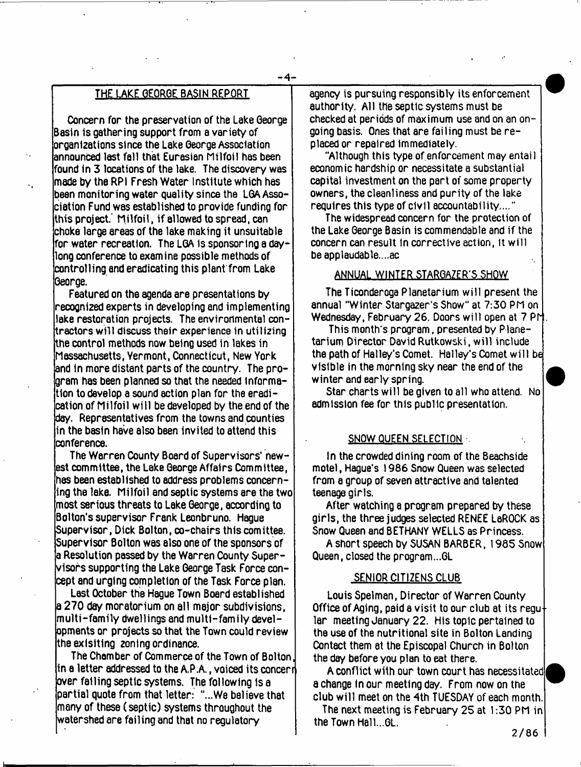- **4**-

# **THE LAKE GEORGE BASIN REPORT**

**Concern for the preservation of the Lake George Basin is gathering support from a variety of organizations since the Lake George Association announced last fall that Eurasian Milfoil has been found in 3 locations of the lake. The discovery was made by the RPI Fresh Water Institute which has been monitoring water quality since the LGA Association Fund was established to provide funding for his project.' M ilfo il, if allowed to spread, can choke large areas of the lake making it unsuitable for water recreation. The LGA is sponsoring a dayong conference to examine possible methods of controlling and eradicating this plant from Lake George.**

**Featured on the agenda are presentations by recognized experts in developing and implementing lake restoration projects. The environmental contractors w ill discuss their experience in utilizing the control methods now being used in lakes in Massachusetts, Yermont, Connecticut, New York and in more distant parts of the country. The program has been planned so that the needed Information to develop a sound action plan for the eradication of Milfoil w ill be developed by the end of the day. Representatives from the towns and counties in the basin have also been invited to attend this conference.**

**The Warren County Board of Supervisors\* newest committee, the Lake George Affairs Committee, has been established to address problems concerning the lake. Milfoil end septic systems are the two most serious threats to Lake George, according to Bolton's supervisor Frank Leonbruno. Hague Supervisor, Dick Bolton, co-chairs this comittee. Supervisor Bolton was also one of the sponsors of a Resolution passed by the Warren County Supervisors supporting the Lake George Task Force concept and urging completion of the Task Force plan.**

**Last October the Hague Town Board established a 270 dey moratorium on all major subdivisions, m ulti-fam ily dwellings and m ulti-fam ily developments or projects so that the Town could review theexlsltlng zoning ordinance.**

**The Chamber of Commerce of the Town of Bolton in a letter addressed to the A.P A , voiced its concerr over failing septic systems. The following 1s a partial quote from that letter: "...We believe that many of these (septic) systems throughout the watershed are failing and that no regulatory**

**agency is pursuing responsibly its enforcement authority. All the septic systems must be checked at periods of maximum use and on an ongoing basis. Ones that are failing must be replaced or repaired Immediately.**

**"Although this type of enforcement may entail economic hardship or necessitate a substantial capital investment on the part of some property owners, the cleanliness and purity of the lake requires this type of civil accountability...."**

**The widespread concern for the protection of the Lake George Basin is commendable and if the concern can result In corrective action, It will beapplaudable....ac**

## **ANNUAL WINTER STARGAZER'S SHOW**

**The Ticonderoga Planetarium will present the annual "Winter Stargazer's Show" at 7:30 PM on Wednesday, February 26. Doors w ill open at 7 Prj**

**This month's program, presented by Planetarium Director David Rutkowski, w ill include the path of Hailey's Comet. Hailey's Comet w ill be visible in the morning sky near the end of the winter and early spring.**

Star charts will be given to all who attend. No **admission fee for this public presentation.**

## SNOW QUEEN SELECTION .

**In the crowded dining room of the Beachside motel, Hague's 1986 Snow Queen was selected from a group of seven attractive and talented teenage girls.**

**After watching a program prepared by these girls, the three judges selected RENEE LeROCK as Snow Queen and BETHANY WELLS as Princess.**

**A short speech by SUSAN BARBER, 1985 Snow Queen, closed the program...GL**

## **SENIOR CITIZENS CLUB**

**Louis Spelman, Director of Warren County Office of Aging, paid a visit to our club at its regu lar meeting January 22, His topic pertained to the use of the nutritional site in Bolton Landing Contact them at the Episcopal Church in Bolton the day before you plan to eat there.**

**A conflict with our town court has necessitated a change In our meeting day. From now on the club w ill meet on the 4th TUESDAY of each month**

The next meeting is February 25 at 1:30 PM in **the Town Hall...GL.**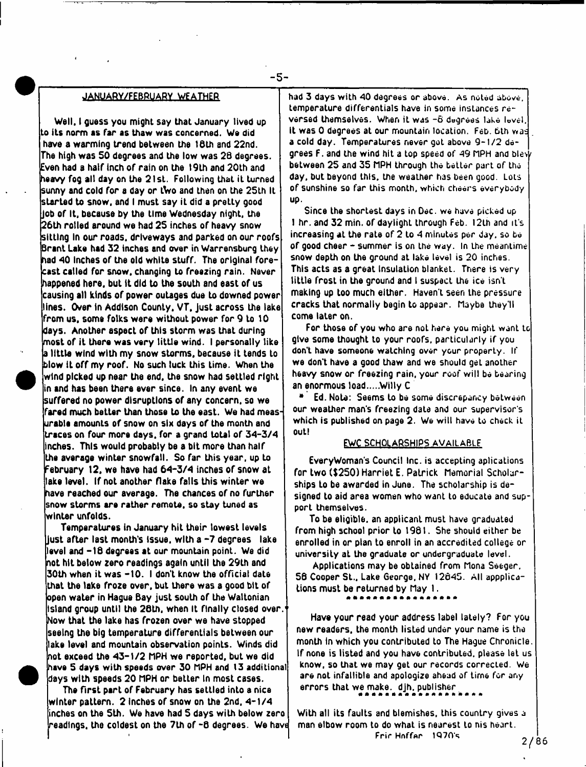#### JANUARY/FEBRUARY WEATHER

- **5**-

Well, I guess you might say that January lived up to its norm as far as thaw was concerned. We did have a warming trend between the 16th and 22nd. The high was 50 degrees and the low was 28 degrees. Even had a half inch of rain on the 19th and 20th and heavy fog all day on the 21st. Following that it turned sunny and cold for a day or tWo and then on the 25th It started to snow, and I must say iL did a preLLy good Job of It, because by the time Wednesday night, the 26th rolled around we had 25 inches of heavy snow sitting In our roads, driveways and parked on our roofs Brant Lake had 32 inches and over in Warrensburg they had 40 Inches of the old white stuff. The original forecast called for snow, changing to freezing rain. Never happened here, but it did to the south and east of us causing all kinds of power outages due to downed power lines. Over in Addison County. VT, Just across the take from us, some folks were without power for 9 to 10 days. Another aspect of this storm was that during most of it there was very little wind. I personally like a little wind with my snow storms, because it tends to blow it off my roof. No such luck this time. When the wind picked up near the end. the snow had settled right in and has been there ever since. In any event we suffered no power disruptions of any concern, so we fared much beLter than those to the east. We had measurable amounLs of snow on six days of the month and traces on four more days, for a grand total of 3 4-3/4 inches. This would probably be a bit more than half the average winter snowfall. So far this year, up to February 12, we have had 64-3/4 inches of snow at lake level. If not another flake falls this winter we have reached our average. The chances of no further snow storms are rather remote, so stay tuned as winter unfolds.

Temperatures in January hit their lowest levels Just after last month's Issue, with a -7 degrees lake level and -18 degrees at our mountain point. We did not hit below zero readings again until the 29th and 30th when it was -10. I don't know the official date that the lake froze over, but there was a good bit of open water in Hague Bay just south of the Waltonian Island group until the 26th, when It finally dosed over.1 Now that the lake has frozen over we have stopped seeing the big temperature differentials between our lake level and mountain observation points. Winds did not exceed the 43-1/2 hPH we reported, but we did have 5 days with speeds over 30 MPH and 13 additional days with speeds 20 MPH or betLer In most cases.

The first part of February has settled into a nice. winter pattern. 2 inches of snow on the 2nd, 4–1/4 inches on the 5th. We have had 5 days with below zero readings, the coldest on the 7th of -6 degrees. We havt

had 3 days with 40 degrees or above. As noted above, temperature differentials have in some instances reversed themselves. When it was -6 degrees lake lovel. it was 0 degrees at our mountain location. Feb. bth *van* a cold day. Temperatures never got above 9-1/2 degrees F. and the wind hit a top speed of 49 MPH and blew between 25 and 35 MPH through the better part of the day, but beyond this, the weather has been good. Lots of sunshine so far this month, which cheers everybody up.

Since Lhe shortest days in Dec. we have picked up 1 hr. and 32 min. of daylighL through Feb. 12th and it's increasing at the rate of 2 to 4 minutes per day. so be of good cheer - summer is on the way. In the meantime snow depth on the ground at lake level is 20 inches. This acts as a great Insulation blanket. There is very little frost in the ground and I suspect Lhe ice isn't making up too much either. Haven't seen Lhe pressure cracks that normally begin to appear. Maybe they'll come later on.

For those of you who are noL here you might want tc give some thought to your roofs, particularly if you don't have someone watching over your property. If we don't have a good thaw and we should geL another heavy snow or freezing rain, your roof will be bearing an enormous load.....Willy C

• Ed. Note: Seems to be some discrepancy between our weather man's freezing date and our supervisor's which is published on page 2. We will have to check it out!

#### EWC SCHOLARSHIPS AVAILABLE

EveryWoman's Council Inc. is accepting aplications for two (\$250) Harriet E. Patrick Memorial Scholarships to be awarded in June. The scholarship is designed to aid area women who want to educate and support themselves.

To be eligible, an applicant must have graduated from high school prior to 1981. She should either be enrolled in or plan to enroll in an accredited college or university at the graduate or undergraduate level.

Applications may be obtained from Mona Seeger, 58 Cooper St., Lake George, NY 12645. All appplications must be returned by May I .

\*\*\*\*\*\*\*\*\*\*\*\*

Have your read your address label lately? For you new readers, the month listed under your name is the month In which you contributed to The Hague Chronicle If none is listed and you have contributed, please let us know, so that we may get our records corrected. We are not infallible and apologize ahead of time for any errors that we make. djh. publisher

With all its faults and blemishes, this country gives a man elbow room to do what is nearest to nis heart. Frir Hnffar  $1970's$  .  $2/86$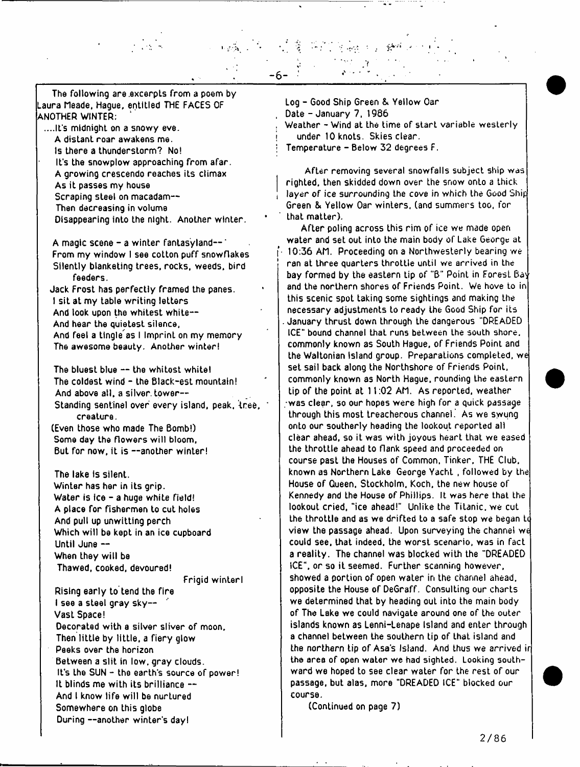The following are.excerpLs from a poem by Laura Meade, Hague, entitled THE FACES OF ANOTHER WINTER;

....It's midnight on a snowy eve. A distant roar awakens me. Is there a thunderstorm? No! It's the snowplow approaching from afar. A growing crescendo reaches its climax As it passes my house Scraping steel on macadam--Then decreasing in volume Disappearing into the night. Another winter.

A magic scene  $-$  a winter fantasyland $-$ From my window I see cotton puff snowflakes Silently blanketing trees, rocks, weeds, bird feeders. Jack Frost has perfectly framed the panes. I sit at my table writing letters And look upon the whitest white—

And hear the quietest silence,

And feel a tingle as I Imprint on my memory The awesome beauty. Another winter!

The bluest blue -- the whitest white! The coldest wind - the Black-est mountain! And above all, a silver, tower--Standing sentinel over every island, peak, tree, ' creature. (Even those who made The Bomb!)

Some day the flowers will bloom, But for now, it is --another winter!

The lake is silent. Winter has her in its grip. Water is ice - a huge white field! A place for fishermen to cut holes And pull up unwitting perch Which will be kept in an ice cupboard Until June — When they will be Thawed, cooked, devoured!

Frigid winterl

Rising early to tend the fire I see a steel gray sky— Vast Space! Decorated with a silver sliver of moon. Then little by little, a fiery glow Peeks over the horizon Between a slit in low, gray clouds. It's Lhe SUN - the earth's source of power! It blinds me with its brilliance — And I know life will be nurtured Somewhere on this globe During —another winter's day!

Log - Good Ship Green & Yellow Oar , Date - January 7. 1986 Weather - Wind at the time of start variable westerly under 10 knots. Skies clear. *\* Temperature - Below 32 degrees F.

- **6** -

After removing several snowfalls subject ship was righted, then skidded down over the snow onto a thick layer of ice surrounding the cove in which the Good Ship Green & Yellow Oar winters, (and summers too, for that matter).

After poling across this rim of ice we made open water and set out into the main body of Lake George at (10:36 AM. Proceeding on a Northwesterly bearing we ran at three quarters throttle until we arrived in the bay formed by the eastern tip of "B" Point in ForesL Bay and the northern shores of Friends Point. We hove to in this scenic spot taking some sightings and making the necessary adjustments to ready the Good Ship for its . January thrust down through the dangerous "DREADED ICE" bound channel that runs between the south shore, commonly known as South Hague, of Friends Point and the Waltonian Island group. Preparations completed, we set sail back along the Northshore of Friends Point, commonly known as North Hague, rounding the eastern tip of the point at 11:02 AM. As reported, weather /was clear, so our hopes were high for a quick passage through this most treacherous channel. As we swung onto our southerly heading the lookout reported all clear ahead, so it was with joyous heart that we eased the throttle ahead to flank speed and proceeded on course past the Houses of Common, Tinker, THE Club, known as Northern Lake George Yacht , followed by the House of Queen. Stockholm, Koch, the new house of Kennedy and the House of Phillips. It was here that the lookout cried, "ice ahead!" Unlike the Titanic, we cut the throttle and as we drifted to a safe stop we began to view the passage ahead. Upon surveying the channel we could see. that indeed, the worst scenario, was in fact a reality. The channel was blocked with the "DREADED ICE", or so it seemed. Further scanning however, showed a portion of open water in the channel ahead, opposite the House of DeGraff. Consulting our charts we determined that by heading out into the main body of The Lake we could navigate around one of the outer islands known as Lenni-lenape Island and enter through a channel between the southern tip of that island and the northern tip of Asa's Island. And thus we arrived ir the area of open water we had sighted. Looking southward we hoped to see clear water for the rest of our passage, but alas, more "DREADED ICE" blocked our course.

(Continued on page 7)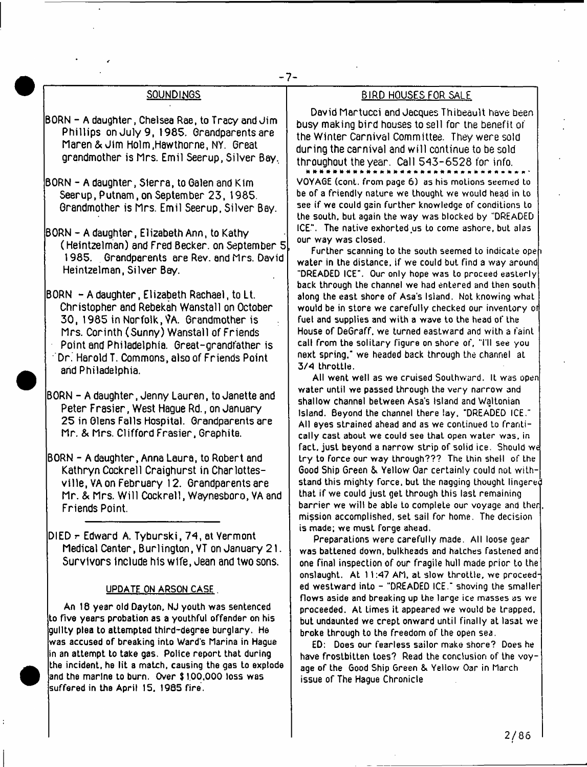## SOUNDINGS

- BORN A daughter, Chelsea Rae, to Tracy and Jim Phillips on July 9, 1985. Grandparents are Maren&Jim Holm,Hawthorne, NY. Great grandmother is Mrs. Emil Seerup, Silver Bay,
- BORN A daughter, Sierra, to Galen and Kim Seerup, Putnam, on September 23, 1985. Grandmother is Mrs. Emil Seerup, Silver Bay.
- BORN A daughter, Elizabeth Ann, to Kathy (Heintzelman) and Fred Becker, on September 5 1985. Grandparents are Rev. and Mrs. David Heintzelman, Silver Bay.

BORN - A daughter, Elizabeth Rachael, to Lt. Christopher and Rebekah Wanstall on October 30, 1985 in Norfolk, VA. Grandmother is Mrs. Corinth (Sunny) Wanstall of Friends Point and Philadelphia. Great-grandfather is Dr. Harold T. Commons, also of Friends Point and Philadelphia.

BORN - A daughter, Jenny Lauren, to Janette and Peter Frasier, West Hague Rd., on January 25 in Glens Falls Hospital. Grandparents are Mr. & Mrs. Clifford Frasier, Graphite.

BORN - A daughter, Anna Laura, to Robert and Kathryn Cockrell Craighurst in Charlottesville, VA on February 12. Grandparents are Mr. & Mrs. W ill Cockrell, Waynesboro, VA and Friends Point.

DlED r Edward A. Tyburski, 74, at Vermont Medical Center, Burlington, VT on January 21. Survivors include his wife, Jean and two sons.

#### UPDATE ON ARSON CASE.

An 18 year old Dayton. NJ youth was sentenced to five years probation as a youthful offender on his guilty plea to attempted third-degree burglary. He was accused of breaking into Ward's Marina in Hague in an attempt to take gas. Police report that during the incident, he lit a match, causing the gas to explode and the marine to burn. Over \$ 1.00,000 loss was suffered in the April 15. 1985 fire.

#### BIRD HOUSES FOR SALE

David Martucci and Jacques Thibeault have been busy making bird houses to sell for the benefit of the Winter Carnival Committee. They were sold during the carnival and w ill continue to be sold throughout the year. Call 543-6528 for info. VOYAGE (cont. from page 6) as his moLions seemed to be of a friendly nature we thought we would head in to see if we could gain further knowledge of conditions to the south, but again the way was blocked by "DREADED ICE\*'. The native exhorted us to come ashore, but alas our way was closed.

Further scanning to the south seemed to indicate opeh. water in the distance, if we could but find a way around "DREADED ICE". Our only hope was to proceed easterly back through the channel we had entered and then south along the east shore of Asa's Island. Not knowing what would be in store we carefully checked our inventory of fuel and supplies and with a wave to the head of the House of DeGraff. we turned eastward and with a faint call from the solitary figure on shore of, "I'll see you next spring.' we headed back through the channel at 3/4 throttle.

All went well as we cruised Southward. It was open water until we passed through the very narrow and shallow channel between Asa's island and Waltonian island. Beyond the channel there lay, "DREADED ICE." All eyes strained ahead and as we continued to frantically cast about we could see that open water was, in fact, just beyond a narrow strip of solid ice. Should we try to force our way through??? The thin shell of the Good Ship Green & Yellow Oar certainly could noL withstand this mighty force, but the nagging thought lingered that if we could just get through this last remaining barrier we will be able to complete our voyage and ther mission accomplished, set sail for home. The decision is made; we must forge ahead.

Preparations were carefully made. All loose gear was battened down, bulkheads and hatches fastened and one final inspection of our fragile hull made prior to the onslaught. At 11:47 AM. at slow throttle, we proceeded westward into - "DREADED ICE." shoving the smaller flows aside and breaking up the large ice masses as we proceeded. At Limes it appeared we would be trapped, but undaunted we crept onward until finally at lasat we broke through to the freedom of the open sea.

ED: Does our fearless sailor make shore? Does he have frostbitten toes? Read the conclusion of the voyage of the Good Ship Green & Yellow Oar in March issue of The Hague Chronicle